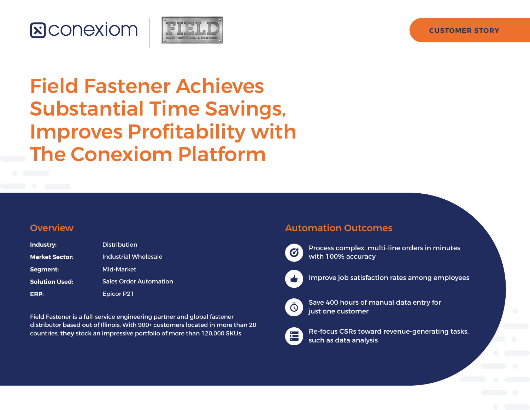## **&Conexiom**



# Field Fastener Achieves Substantial Time Savings, Improves Profitability with The Conexiom Platform

### **Overview**

| Industry:             | <b>Distribution</b>           |
|-----------------------|-------------------------------|
| <b>Market Sector:</b> | Industrial Wholesale          |
| Segment:              | Mid-Market                    |
| <b>Solution Used:</b> | <b>Sales Order Automation</b> |
| ERP:                  | <b>Epicor P21</b>             |

Field Fastener is a full-service engineering partner and global fastener distributor based out of Illinois. With 900+ customers located in more than 20 countries, **they** stock an impressive portfolio of more than 120,000 SKUs.

### Automation Outcomes



Process complex, multi-line orders in minutes with 100% accuracy



Improve job satisfaction rates among employees



Save 400 hours of manual data entry for just one customer



Re-focus CSRs toward revenue-generating tasks, such as data analysis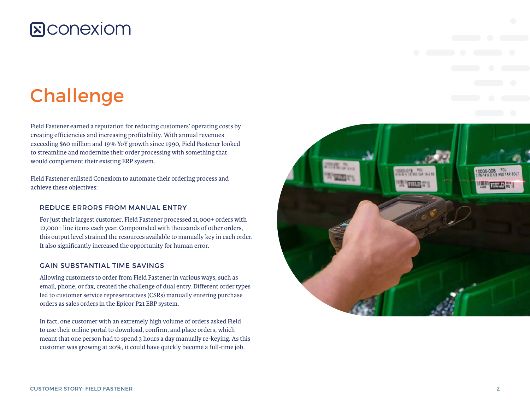## **E**CONEXIOM

# **Challenge**

Field Fastener earned a reputation for reducing customers' operating costs by creating efficiencies and increasing profitability. With annual revenues exceeding \$60 million and 19% YoY growth since 1990, Field Fastener looked to streamline and modernize their order processing with something that would complement their existing ERP system.

Field Fastener enlisted Conexiom to automate their ordering process and achieve these objectives:

#### REDUCE ERRORS FROM MANUAL ENTRY

For just their largest customer, Field Fastener processed 11,000+ orders with 12,000+ line items each year. Compounded with thousands of other orders, this output level strained the resources available to manually key in each order. It also significantly increased the opportunity for human error.

#### GAIN SUBSTANTIAL TIME SAVINGS

Allowing customers to order from Field Fastener in various ways, such as email, phone, or fax, created the challenge of dual entry. Different order types led to customer service representatives (CSRs) manually entering purchase orders as sales orders in the Epicor P21 ERP system.

In fact, one customer with an extremely high volume of orders asked Field to use their online portal to download, confirm, and place orders, which meant that one person had to spend 3 hours a day manually re-keying. As this customer was growing at 20%, it could have quickly become a full-time job.

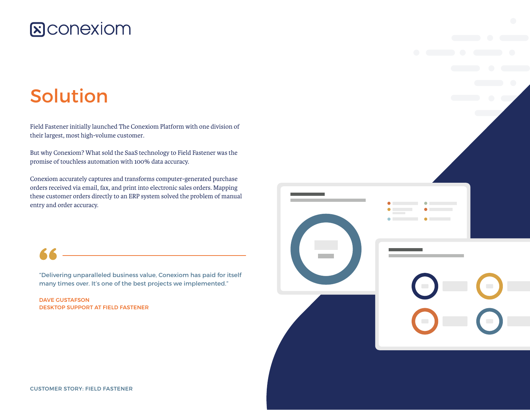## **&Conexiom**

# Solution

Field Fastener initially launched The Conexiom Platform with one division of their largest, most high-volume customer.

But why Conexiom? What sold the SaaS technology to Field Fastener was the promise of touchless automation with 100% data accuracy.

Conexiom accurately captures and transforms computer-generated purchase orders received via email, fax, and print into electronic sales orders. Mapping these customer orders directly to an ERP system solved the problem of manual entry and order accuracy.

"Delivering unparalleled business value, Conexiom has paid for itself many times over. It's one of the best projects we implemented."

DAVE GUSTAFSON DESKTOP SUPPORT AT FIELD FASTENER

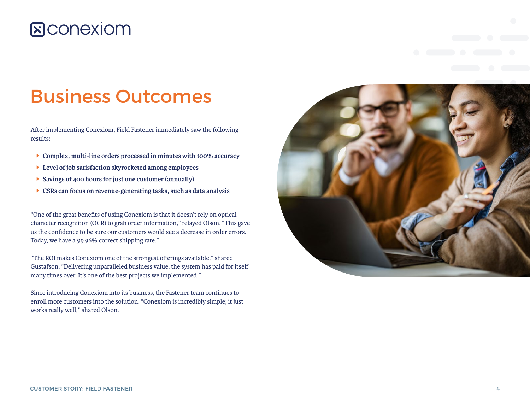## **E**CONEXIOM

## Business Outcomes

After implementing Conexiom, Field Fastener immediately saw the following results:

- Î **Complex, multi-line orders processed in minutes with 100% accuracy**
- Î **Level of job satisfaction skyrocketed among employees**
- **B** Savings of 400 hours for just one customer (annually)
- Î **CSRs can focus on revenue-generating tasks, such as data analysis**

"One of the great benefits of using Conexiom is that it doesn't rely on optical character recognition (OCR) to grab order information," relayed Olson. "This gave us the confidence to be sure our customers would see a decrease in order errors. Today, we have a 99.96% correct shipping rate."

"The ROI makes Conexiom one of the strongest offerings available," shared Gustafson. "Delivering unparalleled business value, the system has paid for itself many times over. It's one of the best projects we implemented."

Since introducing Conexiom into its business, the Fastener team continues to enroll more customers into the solution. "Conexiom is incredibly simple; it just works really well," shared Olson.